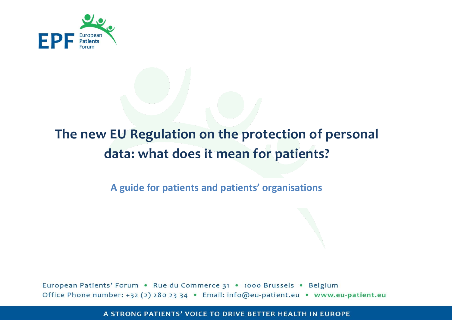

# **The new EU Regulation on the protection of personal data: what does it mean for patients?**

**A guide for patients and patients' organisations**

European Patients' Forum . Rue du Commerce 31 . 1000 Brussels . Belgium Office Phone number: +32 (2) 280 23 34 · Email: info@eu-patient.eu · www.eu-patient.eu

A STRONG PATIENTS' VOICE TO DRIVE BETTER HEALTH IN EUROPE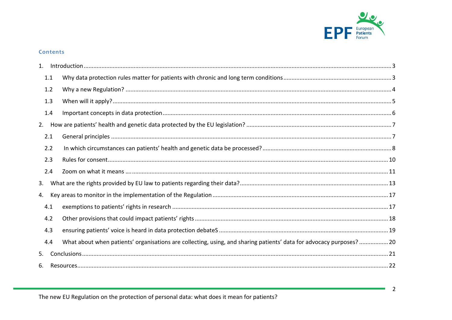

### Contents

| 1. |     |                                                                                                                     |
|----|-----|---------------------------------------------------------------------------------------------------------------------|
|    | 1.1 |                                                                                                                     |
|    | 1.2 |                                                                                                                     |
|    | 1.3 |                                                                                                                     |
|    | 1.4 |                                                                                                                     |
|    |     |                                                                                                                     |
|    | 2.1 |                                                                                                                     |
|    | 2.2 |                                                                                                                     |
|    | 2.3 |                                                                                                                     |
|    | 2.4 |                                                                                                                     |
| 3. |     |                                                                                                                     |
| 4. |     |                                                                                                                     |
|    | 4.1 |                                                                                                                     |
|    | 4.2 |                                                                                                                     |
|    | 4.3 |                                                                                                                     |
|    | 4.4 | What about when patients' organisations are collecting, using, and sharing patients' data for advocacy purposes? 20 |
| 5. |     |                                                                                                                     |
| 6. |     |                                                                                                                     |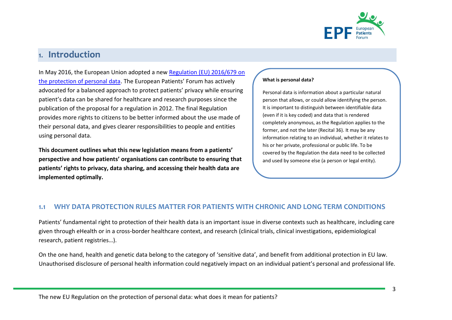

# <span id="page-2-0"></span>1. Introduction

In May 2016, the European Union adopted a new Regulation [\(EU\) 2016/679 on](http://eur-lex.europa.eu/legal-content/EN/TXT/?uri=OJ%3AL%3A2016%3A119%3ATOC)  [the protection of personal data.](http://eur-lex.europa.eu/legal-content/EN/TXT/?uri=OJ%3AL%3A2016%3A119%3ATOC) The European Patients' Forum has actively advocated for a balanced approach to protect patients' privacy while ensuring patient's data can be shared for healthcare and research purposes since the publication of the proposal for a regulation in 2012. The final Regulation provides more rights to citizens to be better informed about the use made of their personal data, and gives clearer responsibilities to people and entities using personal data.

**This document outlines what this new legislation means from a patients' perspective and how patients' organisations can contribute to ensuring that patients' rights to privacy, data sharing, and accessing their health data are implemented optimally.**

#### **What is personal data?**

Personal data is information about a particular natural person that allows, or could allow identifying the person. It is important to distinguish between identifiable data (even if it is key coded) and data that is rendered completely anonymous, as the Regulation applies to the former, and not the later (Recital 36). It may be any information relating to an individual, whether it relates to his or her private, professional or public life. To be covered by the Regulation the data need to be collected and used by someone else (a person or legal entity).

# <span id="page-2-1"></span>**1.1 WHY DATA PROTECTION RULES MATTER FOR PATIENTS WITH CHRONIC AND LONG TERM CONDITIONS**

Patients' fundamental right to protection of their health data is an important issue in diverse contexts such as healthcare, including care given through eHealth or in a cross-border healthcare context, and research (clinical trials, clinical investigations, epidemiological research, patient registries…).

On the one hand, health and genetic data belong to the category of 'sensitive data', and benefit from additional protection in EU law. Unauthorised disclosure of personal health information could negatively impact on an individual patient's personal and professional life.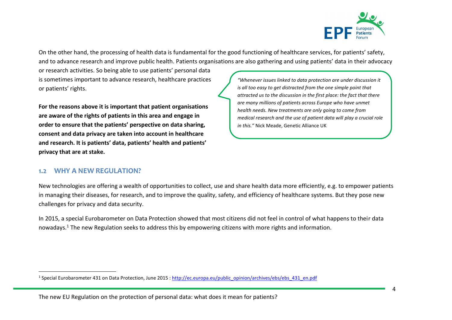

On the other hand, the processing of health data is fundamental for the good functioning of healthcare services, for patients' safety, and to advance research and improve public health. Patients organisations are also gathering and using patients' data in their advocacy

or research activities. So being able to use patients' personal data is sometimes important to advance research, healthcare practices or patients' rights.

**For the reasons above it is important that patient organisations are aware of the rights of patients in this area and engage in order to ensure that the patients' perspective on data sharing, consent and data privacy are taken into account in healthcare and research. It is patients' data, patients' health and patients' privacy that are at stake.**

*"Whenever issues linked to data protection are under discussion it is all too easy to get distracted from the one simple point that attracted us to the discussion in the first place: the fact that there are many millions of patients across Europe who have unmet health needs. New treatments are only going to come from medical research and the use of patient data will play a crucial role in this."* Nick Meade, Genetic Alliance UK

# <span id="page-3-0"></span>**1.2 WHY A NEW REGULATION?**

New technologies are offering a wealth of opportunities to collect, use and share health data more efficiently, e.g. to empower patients in managing their diseases, for research, and to improve the quality, safety, and efficiency of healthcare systems. But they pose new challenges for privacy and data security.

In 2015, a special Eurobarometer on Data Protection showed that most citizens did not feel in control of what happens to their data nowadays.<sup>1</sup> The new Regulation seeks to address this by empowering citizens with more rights and information.

 $\overline{a}$ <sup>1</sup> Special Eurobarometer 431 on Data Protection, June 2015 : [http://ec.europa.eu/public\\_opinion/archives/ebs/ebs\\_431\\_en.pdf](http://ec.europa.eu/public_opinion/archives/ebs/ebs_431_en.pdf)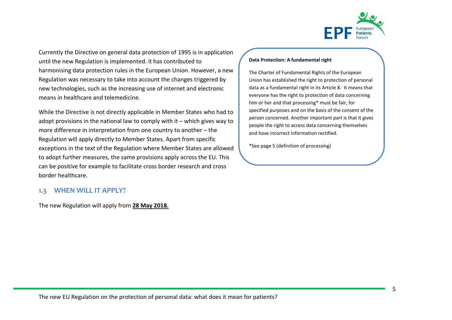

Currently the Directive on general data protection of 1995 is in application until the new Regulation is implemented. it has contributed to harmonising data protection rules in the European Union. However, a new Regulation was necessary to take into account the changes triggered by new technologies, such as the increasing use of internet and electronic means in healthcare and telemedicine.

While the Directive is not directly applicable in Member States who had to adopt provisions in the national law to comply with it – which gives way to more difference in interpretation from one country to another – the Regulation will apply directly to Member States. Apart from specific exceptions in the text of the Regulation where Member States are allowed to adopt further measures, the same provisions apply across the EU. This can be positive for example to facilitate cross border research and cross border healthcare.

# <span id="page-4-0"></span>**1.3 WHEN WILL IT APPLY?**

The new Regulation will apply from **28 May 2018.**

#### **Data Protection: A fundamental right**

The Charter of Fundamental Rights of the European Union has established the right to protection of personal data as a fundamental right in its Article 8. It means that everyone has the right to protection of data concerning him or her and that processing\* must be fair, for specified purposes and on the basis of the consent of the person concerned. Another important part is that it gives people the right to access data concerning themselves and have incorrect information rectified.

\*See page 5 (definition of processing)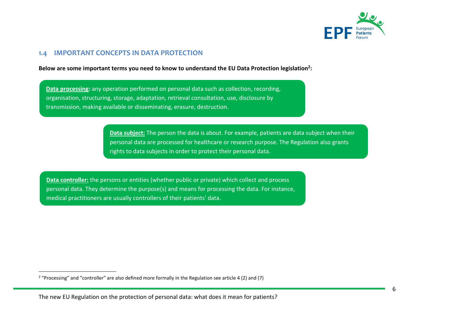

### <span id="page-5-0"></span>**1.4 IMPORTANT CONCEPTS IN DATA PROTECTION**

**Below are some important terms you need to know to understand the EU Data Protection legislation<sup>2</sup> :**

**Data processing:** any operation performed on personal data such as collection, recording, organisation, structuring, storage, adaptation, retrieval consultation, use, disclosure by transmission, making available or disseminating, erasure, destruction.

> **Data subject:** The person the data is about. For example, patients are data subject when their personal data are processed for healthcare or research purpose. The Regulation also grants rights to data subjects in order to protect their personal data.

**Data controller:** the persons or entities (whether public or private) which collect and process personal data. They determine the purpose(s) and means for processing the data. For instance, medical practitioners are usually controllers of their patients' data.

 $\overline{a}$ 

<sup>&</sup>lt;sup>2</sup> "Processing" and "controller" are also defined more formally in the Regulation see article 4 (2) and (7)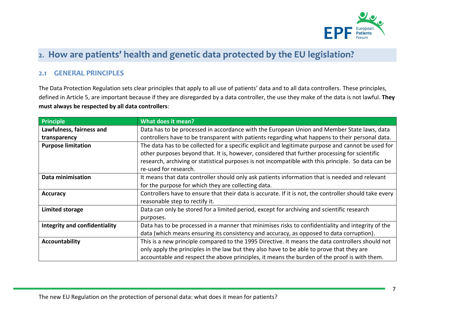

# <span id="page-6-0"></span>2. How are patients' health and genetic data protected by the EU legislation?

# <span id="page-6-1"></span>**2.1 GENERAL PRINCIPLES**

The Data Protection Regulation sets clear principles that apply to all use of patients' data and to all data controllers. These principles, defined in Article 5, are important because if they are disregarded by a data controller, the use they make of the data is not lawful. **They must always be respected by all data controllers**:

| <b>Principle</b>                     | What does it mean?                                                                                     |  |  |
|--------------------------------------|--------------------------------------------------------------------------------------------------------|--|--|
| Lawfulness, fairness and             | Data has to be processed in accordance with the European Union and Member State laws, data             |  |  |
| transparency                         | controllers have to be transparent with patients regarding what happens to their personal data.        |  |  |
| <b>Purpose limitation</b>            | The data has to be collected for a specific explicit and legitimate purpose and cannot be used for     |  |  |
|                                      | other purposes beyond that. It is, however, considered that further processing for scientific          |  |  |
|                                      | research, archiving or statistical purposes is not incompatible with this principle. So data can be    |  |  |
|                                      | re-used for research.                                                                                  |  |  |
| Data minimisation                    | It means that data controller should only ask patients information that is needed and relevant         |  |  |
|                                      | for the purpose for which they are collecting data.                                                    |  |  |
| <b>Accuracy</b>                      | Controllers have to ensure that their data is accurate. If it is not, the controller should take every |  |  |
|                                      | reasonable step to rectify it.                                                                         |  |  |
| Limited storage                      | Data can only be stored for a limited period, except for archiving and scientific research             |  |  |
|                                      | purposes.                                                                                              |  |  |
| <b>Integrity and confidentiality</b> | Data has to be processed in a manner that minimises risks to confidentiality and integrity of the      |  |  |
|                                      | data (which means ensuring its consistency and accuracy, as opposed to data corruption).               |  |  |
| <b>Accountability</b>                | This is a new principle compared to the 1995 Directive. It means the data controllers should not       |  |  |
|                                      | only apply the principles in the law but they also have to be able to prove that they are              |  |  |
|                                      | accountable and respect the above principles, it means the burden of the proof is with them.           |  |  |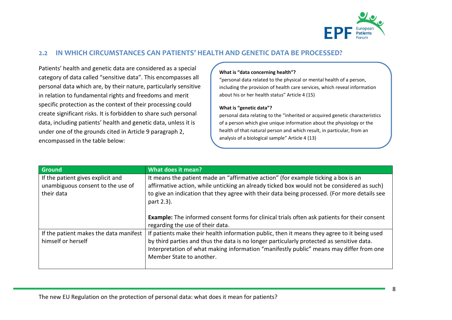

# <span id="page-7-0"></span>**2.2 IN WHICH CIRCUMSTANCES CAN PATIENTS' HEALTH AND GENETIC DATA BE PROCESSED?**

Patients' health and genetic data are considered as a special category of data called "sensitive data". This encompasses all personal data which are, by their nature, particularly sensitive in relation to fundamental rights and freedoms and merit specific protection as the context of their processing could create significant risks. It is forbidden to share such personal data, including patients' health and genetic data, unless it is under one of the grounds cited in Article 9 paragraph 2, encompassed in the table below:

#### **What is "data concerning health"?**

"personal data related to the physical or mental health of a person, including the provision of health care services, which reveal information about his or her health status" Article 4 (15)

#### **What is "genetic data"?**

personal data relating to the "inherited or acquired genetic characteristics of a person which give unique information about the physiology or the health of that natural person and which result, in particular, from an analysis of a biological sample" Article 4 (13)

| <b>Ground</b>                                                                        | What does it mean?                                                                                                                                                                                                                                                                                              |  |
|--------------------------------------------------------------------------------------|-----------------------------------------------------------------------------------------------------------------------------------------------------------------------------------------------------------------------------------------------------------------------------------------------------------------|--|
| If the patient gives explicit and<br>unambiguous consent to the use of<br>their data | It means the patient made an "affirmative action" (for example ticking a box is an<br>affirmative action, while unticking an already ticked box would not be considered as such)<br>to give an indication that they agree with their data being processed. (For more details see<br>part 2.3).                  |  |
|                                                                                      | <b>Example:</b> The informed consent forms for clinical trials often ask patients for their consent<br>regarding the use of their data.                                                                                                                                                                         |  |
| If the patient makes the data manifest<br>himself or herself                         | If patients make their health information public, then it means they agree to it being used<br>by third parties and thus the data is no longer particularly protected as sensitive data.<br>Interpretation of what making information "manifestly public" means may differ from one<br>Member State to another. |  |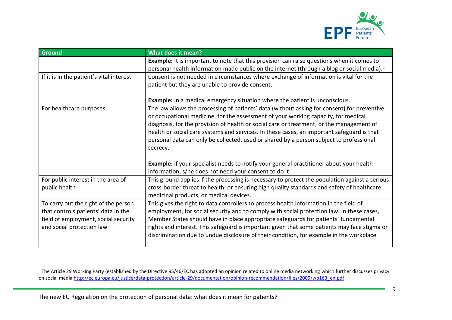

| <b>Ground</b>                            | <b>What does it mean?</b>                                                                              |  |  |
|------------------------------------------|--------------------------------------------------------------------------------------------------------|--|--|
|                                          | Example: It is important to note that this provision can raise questions when it comes to              |  |  |
|                                          | personal health information made public on the internet (through a blog or social media). <sup>3</sup> |  |  |
| If it is in the patient's vital interest | Consent is not needed in circumstances where exchange of information is vital for the                  |  |  |
|                                          | patient but they are unable to provide consent.                                                        |  |  |
|                                          |                                                                                                        |  |  |
|                                          | <b>Example:</b> In a medical emergency situation where the patient is unconscious.                     |  |  |
| For healthcare purposes                  | The law allows the processing of patients' data (without asking for consent) for preventive            |  |  |
|                                          | or occupational medicine, for the assessment of your working capacity, for medical                     |  |  |
|                                          | diagnosis, for the provision of health or social care or treatment, or the management of               |  |  |
|                                          | health or social care systems and services. In these cases, an important safeguard is that             |  |  |
|                                          | personal data can only be collected, used or shared by a person subject to professional                |  |  |
|                                          | secrecy.                                                                                               |  |  |
|                                          |                                                                                                        |  |  |
|                                          | Example: if your specialist needs to notify your general practitioner about your health                |  |  |
|                                          | information, s/he does not need your consent to do it.                                                 |  |  |
| For public interest in the area of       | This ground applies if the processing is necessary to protect the population against a serious         |  |  |
| public health                            | cross-border threat to health, or ensuring high quality standards and safety of healthcare,            |  |  |
|                                          | medicinal products, or medical devices.                                                                |  |  |
| To carry out the right of the person     | This gives the right to data controllers to process health information in the field of                 |  |  |
| that controls patients' data in the      | employment, for social security and to comply with social protection law. In these cases,              |  |  |
| field of employment, social security     | Member States should have in place appropriate safeguards for patients' fundamental                    |  |  |
| and social protection law                | rights and interest. This safeguard is important given that some patients may face stigma or           |  |  |
|                                          | discrimination due to undue disclosure of their condition, for example in the workplace.               |  |  |

 $\overline{a}$ 

<sup>&</sup>lt;sup>3</sup> The Article 29 Working Party (established by the Directive 95/46/EC has adopted an opinion related to online media networking which further discusses privacy on social media [http://ec.europa.eu/justice/data-protection/article-29/documentation/opinion-recommendation/files/2009/wp163\\_en.pdf](http://ec.europa.eu/justice/data-protection/article-29/documentation/opinion-recommendation/files/2009/wp163_en.pdf)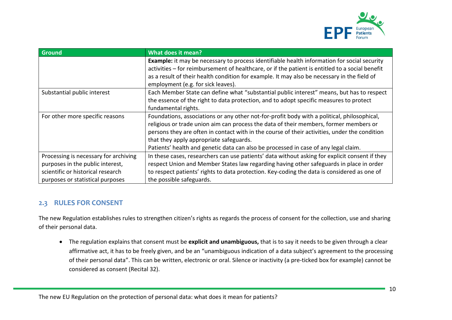

| <b>Ground</b>                         | What does it mean?                                                                              |
|---------------------------------------|-------------------------------------------------------------------------------------------------|
|                                       | Example: it may be necessary to process identifiable health information for social security     |
|                                       | activities – for reimbursement of healthcare, or if the patient is entitled to a social benefit |
|                                       | as a result of their health condition for example. It may also be necessary in the field of     |
|                                       | employment (e.g. for sick leaves).                                                              |
| Substantial public interest           | Each Member State can define what "substantial public interest" means, but has to respect       |
|                                       | the essence of the right to data protection, and to adopt specific measures to protect          |
|                                       | fundamental rights.                                                                             |
| For other more specific reasons       | Foundations, associations or any other not-for-profit body with a political, philosophical,     |
|                                       | religious or trade union aim can process the data of their members, former members or           |
|                                       | persons they are often in contact with in the course of their activities, under the condition   |
|                                       | that they apply appropriate safeguards.                                                         |
|                                       | Patients' health and genetic data can also be processed in case of any legal claim.             |
| Processing is necessary for archiving | In these cases, researchers can use patients' data without asking for explicit consent if they  |
| purposes in the public interest,      | respect Union and Member States law regarding having other safeguards in place in order         |
| scientific or historical research     | to respect patients' rights to data protection. Key-coding the data is considered as one of     |
| purposes or statistical purposes      | the possible safeguards.                                                                        |

# <span id="page-9-0"></span>**2.3 RULES FOR CONSENT**

The new Regulation establishes rules to strengthen citizen's rights as regards the process of consent for the collection, use and sharing of their personal data.

 The regulation explains that consent must be **explicit and unambiguous,** that is to say it needs to be given through a clear affirmative act, it has to be freely given, and be an "unambiguous indication of a data subject's agreement to the processing of their personal data". This can be written, electronic or oral. Silence or inactivity (a pre-ticked box for example) cannot be considered as consent (Recital 32).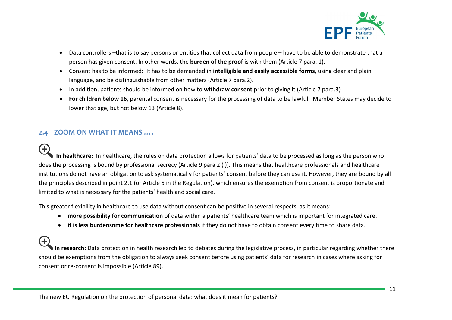

- Data controllers –that is to say persons or entities that collect data from people have to be able to demonstrate that a person has given consent. In other words, the **burden of the proof** is with them (Article 7 para. 1).
- Consent has to be informed: It has to be demanded in **intelligible and easily accessible forms**, using clear and plain language, and be distinguishable from other matters (Article 7 para.2).
- In addition, patients should be informed on how to **withdraw consent** prior to giving it (Article 7 para.3)
- **For children below 16**, parental consent is necessary for the processing of data to be lawful– Member States may decide to lower that age, but not below 13 (Article 8).

# <span id="page-10-0"></span>**2.4 ZOOM ON WHAT IT MEANS ….**

Ð **In healthcare:** In healthcare, the rules on data protection allows for patients' data to be processed as long as the person who does the processing is bound by professional secrecy (Article 9 para 2 (i)). This means that healthcare professionals and healthcare institutions do not have an obligation to ask systematically for patients' consent before they can use it. However, they are bound by all the principles described in point 2.1 (or Article 5 in the Regulation), which ensures the exemption from consent is proportionate and limited to what is necessary for the patients' health and social care.

This greater flexibility in healthcare to use data without consent can be positive in several respects, as it means:

- **more possibility for communication** of data within a patients' healthcare team which is important for integrated care.
- **it is less burdensome for healthcare professionals** if they do not have to obtain consent every time to share data.

**In research:** Data protection in health research led to debates during the legislative process, in particular regarding whether there should be exemptions from the obligation to always seek consent before using patients' data for research in cases where asking for consent or re-consent is impossible (Article 89).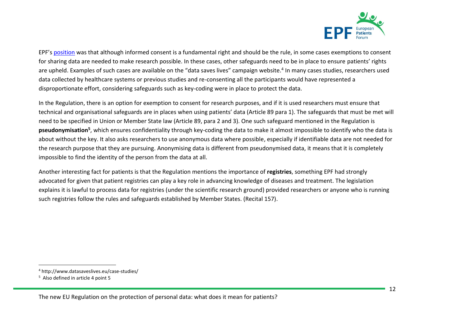

EPF's [position](http://www.eu-patient.eu/whatwedo/Policy/Data-Protection/) was that although informed consent is a fundamental right and should be the rule, in some cases exemptions to consent for sharing data are needed to make research possible. In these cases, other safeguards need to be in place to ensure patients' rights are upheld. Examples of such cases are available on the "data saves lives" campaign website.<sup>4</sup> In many cases studies, researchers used data collected by healthcare systems or previous studies and re-consenting all the participants would have represented a disproportionate effort, considering safeguards such as key-coding were in place to protect the data.

In the Regulation, there is an option for exemption to consent for research purposes, and if it is used researchers must ensure that technical and organisational safeguards are in places when using patients' data (Article 89 para 1). The safeguards that must be met will need to be specified in Union or Member State law (Article 89, para 2 and 3). One such safeguard mentioned in the Regulation is **pseudonymisation<sup>5</sup>** , which ensures confidentiality through key-coding the data to make it almost impossible to identify who the data is about without the key. It also asks researchers to use anonymous data where possible, especially if identifiable data are not needed for the research purpose that they are pursuing. Anonymising data is different from pseudonymised data, it means that it is completely impossible to find the identity of the person from the data at all.

Another interesting fact for patients is that the Regulation mentions the importance of **registries**, something EPF had strongly advocated for given that patient registries can play a key role in advancing knowledge of diseases and treatment. The legislation explains it is lawful to process data for registries (under the scientific research ground) provided researchers or anyone who is running such registries follow the rules and safeguards established by Member States. (Recital 157).

 $\overline{a}$ 

<sup>4</sup> http://www.datasaveslives.eu/case-studies/

<sup>&</sup>lt;sup>5</sup> Also defined in article 4 point 5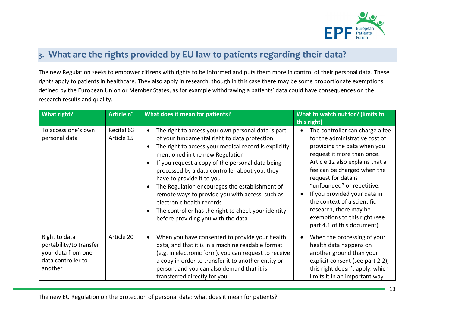

# <span id="page-12-0"></span>3. What are the rights provided by EU law to patients regarding their data?

The new Regulation seeks to empower citizens with rights to be informed and puts them more in control of their personal data. These rights apply to patients in healthcare. They also apply in research, though in this case there may be some proportionate exemptions defined by the European Union or Member States, as for example withdrawing a patients' data could have consequences on the research results and quality.

| What right?                                                                                     | Article n°               | <b>What does it mean for patients?</b>                                                                                                                                                                                                                                                                                                                                                                                                                                                                                                                           | What to watch out for? (limits to<br>this right)                                                                                                                                                                                                                                                                                                                                                              |
|-------------------------------------------------------------------------------------------------|--------------------------|------------------------------------------------------------------------------------------------------------------------------------------------------------------------------------------------------------------------------------------------------------------------------------------------------------------------------------------------------------------------------------------------------------------------------------------------------------------------------------------------------------------------------------------------------------------|---------------------------------------------------------------------------------------------------------------------------------------------------------------------------------------------------------------------------------------------------------------------------------------------------------------------------------------------------------------------------------------------------------------|
| To access one's own<br>personal data                                                            | Recital 63<br>Article 15 | The right to access your own personal data is part<br>of your fundamental right to data protection<br>The right to access your medical record is explicitly<br>mentioned in the new Regulation<br>If you request a copy of the personal data being<br>processed by a data controller about you, they<br>have to provide it to you<br>The Regulation encourages the establishment of<br>remote ways to provide you with access, such as<br>electronic health records<br>The controller has the right to check your identity<br>before providing you with the data | The controller can charge a fee<br>for the administrative cost of<br>providing the data when you<br>request it more than once.<br>Article 12 also explains that a<br>fee can be charged when the<br>request for data is<br>"unfounded" or repetitive.<br>If you provided your data in<br>the context of a scientific<br>research, there may be<br>exemptions to this right (see<br>part 4.1 of this document) |
| Right to data<br>portability/to transfer<br>your data from one<br>data controller to<br>another | Article 20               | When you have consented to provide your health<br>data, and that it is in a machine readable format<br>(e.g. in electronic form), you can request to receive<br>a copy in order to transfer it to another entity or<br>person, and you can also demand that it is<br>transferred directly for you                                                                                                                                                                                                                                                                | When the processing of your<br>health data happens on<br>another ground than your<br>explicit consent (see part 2.2),<br>this right doesn't apply, which<br>limits it in an important way                                                                                                                                                                                                                     |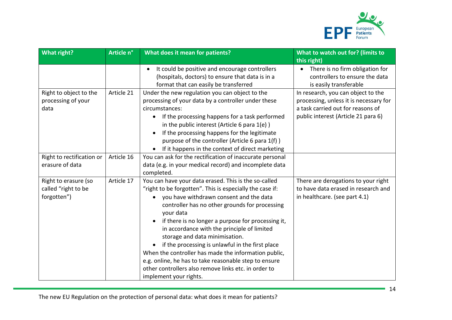

| What right?                                                | Article n° | What does it mean for patients?                                                                                                                                                                                                                                                                                                                                                                                                                                                                                                                                                                                          | What to watch out for? (limits to<br>this right)                                                                                                         |
|------------------------------------------------------------|------------|--------------------------------------------------------------------------------------------------------------------------------------------------------------------------------------------------------------------------------------------------------------------------------------------------------------------------------------------------------------------------------------------------------------------------------------------------------------------------------------------------------------------------------------------------------------------------------------------------------------------------|----------------------------------------------------------------------------------------------------------------------------------------------------------|
|                                                            |            | It could be positive and encourage controllers<br>$\bullet$<br>(hospitals, doctors) to ensure that data is in a<br>format that can easily be transferred                                                                                                                                                                                                                                                                                                                                                                                                                                                                 | There is no firm obligation for<br>$\bullet$<br>controllers to ensure the data<br>is easily transferable                                                 |
| Right to object to the<br>processing of your<br>data       | Article 21 | Under the new regulation you can object to the<br>processing of your data by a controller under these<br>circumstances:<br>If the processing happens for a task performed<br>$\bullet$<br>in the public interest (Article 6 para $1(e)$ )<br>If the processing happens for the legitimate<br>purpose of the controller (Article 6 para 1(f))<br>If it happens in the context of direct marketing<br>$\bullet$                                                                                                                                                                                                            | In research, you can object to the<br>processing, unless it is necessary for<br>a task carried out for reasons of<br>public interest (Article 21 para 6) |
| Right to rectification or<br>erasure of data               | Article 16 | You can ask for the rectification of inaccurate personal<br>data (e.g. in your medical record) and incomplete data<br>completed.                                                                                                                                                                                                                                                                                                                                                                                                                                                                                         |                                                                                                                                                          |
| Right to erasure (so<br>called "right to be<br>forgotten") | Article 17 | You can have your data erased. This is the so-called<br>"right to be forgotten". This is especially the case if:<br>you have withdrawn consent and the data<br>controller has no other grounds for processing<br>your data<br>if there is no longer a purpose for processing it,<br>in accordance with the principle of limited<br>storage and data minimisation.<br>if the processing is unlawful in the first place<br>When the controller has made the information public,<br>e.g. online, he has to take reasonable step to ensure<br>other controllers also remove links etc. in order to<br>implement your rights. | There are derogations to your right<br>to have data erased in research and<br>in healthcare. (see part 4.1)                                              |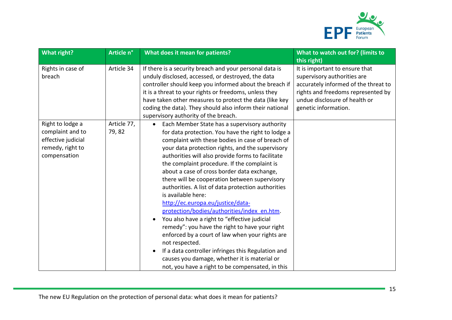

| <b>What right?</b>                                                                             | Article n°           | What does it mean for patients?                                                                                                                                                                                                                                                                                                                                                                                                                                                                                                                                                                                                                                                                                                                                                                                                                                                                                                | What to watch out for? (limits to<br>this right)                                                                                                                                                     |
|------------------------------------------------------------------------------------------------|----------------------|--------------------------------------------------------------------------------------------------------------------------------------------------------------------------------------------------------------------------------------------------------------------------------------------------------------------------------------------------------------------------------------------------------------------------------------------------------------------------------------------------------------------------------------------------------------------------------------------------------------------------------------------------------------------------------------------------------------------------------------------------------------------------------------------------------------------------------------------------------------------------------------------------------------------------------|------------------------------------------------------------------------------------------------------------------------------------------------------------------------------------------------------|
| Rights in case of<br>breach                                                                    | Article 34           | If there is a security breach and your personal data is<br>unduly disclosed, accessed, or destroyed, the data<br>controller should keep you informed about the breach if<br>it is a threat to your rights or freedoms, unless they<br>have taken other measures to protect the data (like key<br>coding the data). They should also inform their national<br>supervisory authority of the breach.                                                                                                                                                                                                                                                                                                                                                                                                                                                                                                                              | It is important to ensure that<br>supervisory authorities are<br>accurately informed of the threat to<br>rights and freedoms represented by<br>undue disclosure of health or<br>genetic information. |
| Right to lodge a<br>complaint and to<br>effective judicial<br>remedy, right to<br>compensation | Article 77,<br>79,82 | Each Member State has a supervisory authority<br>$\bullet$<br>for data protection. You have the right to lodge a<br>complaint with these bodies in case of breach of<br>your data protection rights, and the supervisory<br>authorities will also provide forms to facilitate<br>the complaint procedure. If the complaint is<br>about a case of cross border data exchange,<br>there will be cooperation between supervisory<br>authorities. A list of data protection authorities<br>is available here:<br>http://ec.europa.eu/justice/data-<br>protection/bodies/authorities/index_en.htm.<br>You also have a right to "effective judicial<br>remedy": you have the right to have your right<br>enforced by a court of law when your rights are<br>not respected.<br>If a data controller infringes this Regulation and<br>causes you damage, whether it is material or<br>not, you have a right to be compensated, in this |                                                                                                                                                                                                      |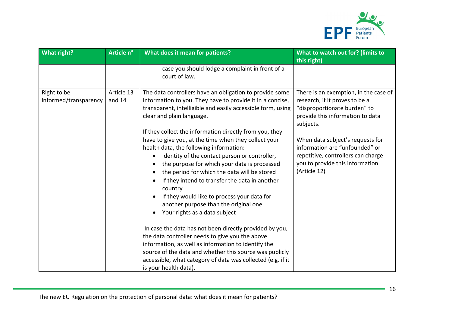

| What right?                          | Article n°           | What does it mean for patients?                                                                                                                                                                                                                                                                                                                                                                                                        | What to watch out for? (limits to<br>this right)                                                                                                            |
|--------------------------------------|----------------------|----------------------------------------------------------------------------------------------------------------------------------------------------------------------------------------------------------------------------------------------------------------------------------------------------------------------------------------------------------------------------------------------------------------------------------------|-------------------------------------------------------------------------------------------------------------------------------------------------------------|
|                                      |                      | case you should lodge a complaint in front of a<br>court of law.                                                                                                                                                                                                                                                                                                                                                                       |                                                                                                                                                             |
| Right to be<br>informed/transparency | Article 13<br>and 14 | The data controllers have an obligation to provide some<br>information to you. They have to provide it in a concise,<br>transparent, intelligible and easily accessible form, using<br>clear and plain language.<br>If they collect the information directly from you, they                                                                                                                                                            | There is an exemption, in the case of<br>research, if it proves to be a<br>"disproportionate burden" to<br>provide this information to data<br>subjects.    |
|                                      |                      | have to give you, at the time when they collect your<br>health data, the following information:<br>identity of the contact person or controller,<br>the purpose for which your data is processed<br>the period for which the data will be stored<br>If they intend to transfer the data in another<br>country<br>If they would like to process your data for<br>another purpose than the original one<br>Your rights as a data subject | When data subject's requests for<br>information are "unfounded" or<br>repetitive, controllers can charge<br>you to provide this information<br>(Article 12) |
|                                      |                      | In case the data has not been directly provided by you,<br>the data controller needs to give you the above<br>information, as well as information to identify the<br>source of the data and whether this source was publicly<br>accessible, what category of data was collected (e.g. if it<br>is your health data).                                                                                                                   |                                                                                                                                                             |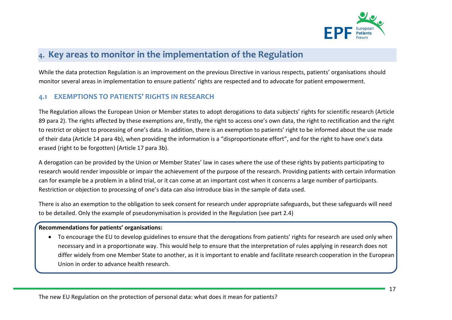

# <span id="page-16-0"></span>4. Key areas to monitor in the implementation of the Regulation

While the data protection Regulation is an improvement on the previous Directive in various respects, patients' organisations should monitor several areas in implementation to ensure patients' rights are respected and to advocate for patient empowerment.

# <span id="page-16-1"></span>**4.1 EXEMPTIONS TO PATIENTS' RIGHTS IN RESEARCH**

The Regulation allows the European Union or Member states to adopt derogations to data subjects' rights for scientific research (Article 89 para 2). The rights affected by these exemptions are, firstly, the right to access one's own data, the right to rectification and the right to restrict or object to processing of one's data. In addition, there is an exemption to patients' right to be informed about the use made of their data (Article 14 para 4b), when providing the information is a "disproportionate effort", and for the right to have one's data erased (right to be forgotten) (Article 17 para 3b).

A derogation can be provided by the Union or Member States' law in cases where the use of these rights by patients participating to research would render impossible or impair the achievement of the purpose of the research. Providing patients with certain information can for example be a problem in a blind trial, or it can come at an important cost when it concerns a large number of participants. Restriction or objection to processing of one's data can also introduce bias in the sample of data used.

There is also an exemption to the obligation to seek consent for research under appropriate safeguards, but these safeguards will need to be detailed. Only the example of pseudonymisation is provided in the Regulation (see part 2.4)

### **Recommendations for patients' organisations:**

 To encourage the EU to develop guidelines to ensure that the derogations from patients' rights for research are used only when necessary and in a proportionate way. This would help to ensure that the interpretation of rules applying in research does not differ widely from one Member State to another, as it is important to enable and facilitate research cooperation in the European Union in order to advance health research.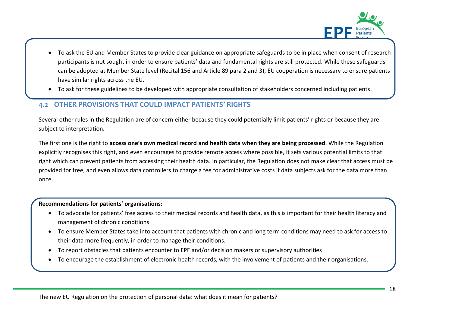

- To ask the EU and Member States to provide clear guidance on appropriate safeguards to be in place when consent of research participants is not sought in order to ensure patients' data and fundamental rights are still protected. While these safeguards can be adopted at Member State level (Recital 156 and Article 89 para 2 and 3), EU cooperation is necessary to ensure patients have similar rights across the EU.
- To ask for these guidelines to be developed with appropriate consultation of stakeholders concerned including patients.

# <span id="page-17-0"></span>**4.2 OTHER PROVISIONS THAT COULD IMPACT PATIENTS' RIGHTS**

Several other rules in the Regulation are of concern either because they could potentially limit patients' rights or because they are subject to interpretation.

The first one is the right to **access one's own medical record and health data when they are being processed**. While the Regulation explicitly recognises this right, and even encourages to provide remote access where possible, it sets various potential limits to that right which can prevent patients from accessing their health data. In particular, the Regulation does not make clear that access must be provided for free, and even allows data controllers to charge a fee for administrative costs if data subjects ask for the data more than once.

### **Recommendations for patients' organisations:**

- To advocate for patients' free access to their medical records and health data, as this is important for their health literacy and management of chronic conditions
- To ensure Member States take into account that patients with chronic and long term conditions may need to ask for access to their data more frequently, in order to manage their conditions.
- To report obstacles that patients encounter to EPF and/or decision makers or supervisory authorities
- To encourage the establishment of electronic health records, with the involvement of patients and their organisations.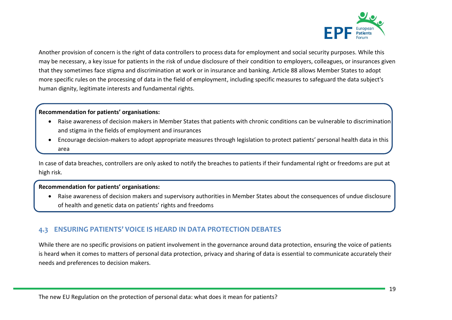

Another provision of concern is the right of data controllers to process data for employment and social security purposes. While this may be necessary, a key issue for patients in the risk of undue disclosure of their condition to employers, colleagues, or insurances given that they sometimes face stigma and discrimination at work or in insurance and banking. Article 88 allows Member States to adopt more specific rules on the processing of data in the field of employment, including specific measures to safeguard the data subject's human dignity, legitimate interests and fundamental rights.

### **Recommendation for patients' organisations:**

- Raise awareness of decision makers in Member States that patients with chronic conditions can be vulnerable to discrimination and stigma in the fields of employment and insurances
- Encourage decision-makers to adopt appropriate measures through legislation to protect patients' personal health data in this area

In case of data breaches, controllers are only asked to notify the breaches to patients if their fundamental right or freedoms are put at high risk.

### **Recommendation for patients' organisations:**

 Raise awareness of decision makers and supervisory authorities in Member States about the consequences of undue disclosure of health and genetic data on patients' rights and freedoms

# <span id="page-18-0"></span>**4.3 ENSURING PATIENTS' VOICE IS HEARD IN DATA PROTECTION DEBATES**

While there are no specific provisions on patient involvement in the governance around data protection, ensuring the voice of patients is heard when it comes to matters of personal data protection, privacy and sharing of data is essential to communicate accurately their needs and preferences to decision makers.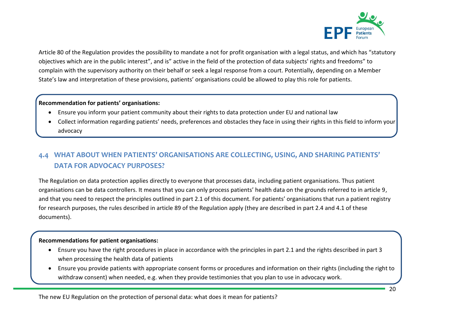

Article 80 of the Regulation provides the possibility to mandate a not for profit organisation with a legal status, and which has "statutory objectives which are in the public interest", and is" active in the field of the protection of data subjects' rights and freedoms" to complain with the supervisory authority on their behalf or seek a legal response from a court. Potentially, depending on a Member State's law and interpretation of these provisions, patients' organisations could be allowed to play this role for patients.

### **Recommendation for patients' organisations:**

- Ensure you inform your patient community about their rights to data protection under EU and national law
- Collect information regarding patients' needs, preferences and obstacles they face in using their rights in this field to inform your advocacy

# <span id="page-19-0"></span>**4.4 WHAT ABOUT WHEN PATIENTS' ORGANISATIONS ARE COLLECTING, USING, AND SHARING PATIENTS' DATA FOR ADVOCACY PURPOSES?**

The Regulation on data protection applies directly to everyone that processes data, including patient organisations. Thus patient organisations can be data controllers. It means that you can only process patients' health data on the grounds referred to in article 9, and that you need to respect the principles outlined in part 2.1 of this document. For patients' organisations that run a patient registry for research purposes, the rules described in article 89 of the Regulation apply (they are described in part 2.4 and 4.1 of these documents).

### **Recommendations for patient organisations:**

- Ensure you have the right procedures in place in accordance with the principles in part 2.1 and the rights described in part 3 when processing the health data of patients
- Ensure you provide patients with appropriate consent forms or procedures and information on their rights (including the right to withdraw consent) when needed, e.g. when they provide testimonies that you plan to use in advocacy work.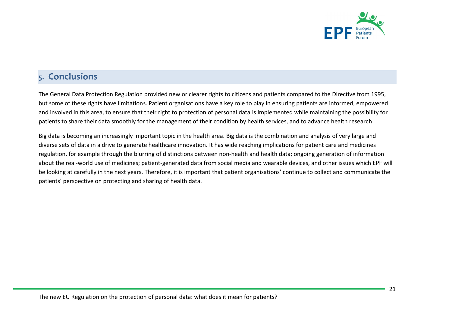

# <span id="page-20-0"></span>5. Conclusions

The General Data Protection Regulation provided new or clearer rights to citizens and patients compared to the Directive from 1995, but some of these rights have limitations. Patient organisations have a key role to play in ensuring patients are informed, empowered and involved in this area, to ensure that their right to protection of personal data is implemented while maintaining the possibility for patients to share their data smoothly for the management of their condition by health services, and to advance health research.

Big data is becoming an increasingly important topic in the health area. Big data is the combination and analysis of very large and diverse sets of data in a drive to generate healthcare innovation. It has wide reaching implications for patient care and medicines regulation, for example through the blurring of distinctions between non-health and health data; ongoing generation of information about the real-world use of medicines; patient-generated data from social media and wearable devices, and other issues which EPF will be looking at carefully in the next years. Therefore, it is important that patient organisations' continue to collect and communicate the patients' perspective on protecting and sharing of health data.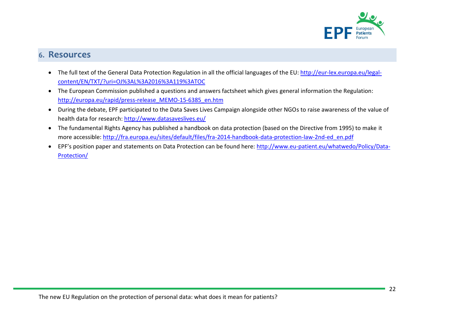

# <span id="page-21-0"></span>6. Resources

- The full text of the General Data Protection Regulation in all the official languages of the EU: [http://eur-lex.europa.eu/legal](http://eur-lex.europa.eu/legal-content/EN/TXT/?uri=OJ%3AL%3A2016%3A119%3ATOC)[content/EN/TXT/?uri=OJ%3AL%3A2016%3A119%3ATOC](http://eur-lex.europa.eu/legal-content/EN/TXT/?uri=OJ%3AL%3A2016%3A119%3ATOC)
- The European Commission published a questions and answers factsheet which gives general information the Regulation: [http://europa.eu/rapid/press-release\\_MEMO-15-6385\\_en.htm](http://europa.eu/rapid/press-release_MEMO-15-6385_en.htm)
- During the debate, EPF participated to the Data Saves Lives Campaign alongside other NGOs to raise awareness of the value of health data for research:<http://www.datasaveslives.eu/>
- The fundamental Rights Agency has published a handbook on data protection (based on the Directive from 1995) to make it more accessible[: http://fra.europa.eu/sites/default/files/fra-2014-handbook-data-protection-law-2nd-ed\\_en.pdf](http://fra.europa.eu/sites/default/files/fra-2014-handbook-data-protection-law-2nd-ed_en.pdf)
- EPF's position paper and statements on Data Protection can be found here: [http://www.eu-patient.eu/whatwedo/Policy/Data-](http://www.eu-patient.eu/whatwedo/Policy/Data-Protection/)[Protection/](http://www.eu-patient.eu/whatwedo/Policy/Data-Protection/)